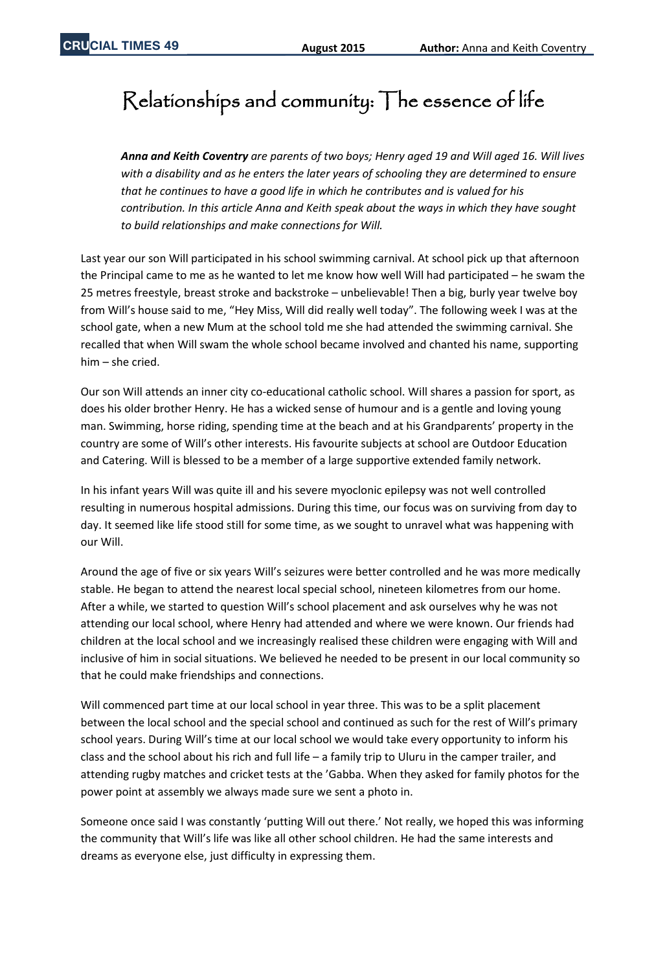## Relationships and community: The essence of life

*Anna and Keith Coventry are parents of two boys; Henry aged 19 and Will aged 16. Will lives with a disability and as he enters the later years of schooling they are determined to ensure that he continues to have a good life in which he contributes and is valued for his contribution. In this article Anna and Keith speak about the ways in which they have sought to build relationships and make connections for Will.* 

Last year our son Will participated in his school swimming carnival. At school pick up that afternoon the Principal came to me as he wanted to let me know how well Will had participated – he swam the 25 metres freestyle, breast stroke and backstroke – unbelievable! Then a big, burly year twelve boy from Will's house said to me, "Hey Miss, Will did really well today". The following week I was at the school gate, when a new Mum at the school told me she had attended the swimming carnival. She recalled that when Will swam the whole school became involved and chanted his name, supporting him – she cried.

Our son Will attends an inner city co-educational catholic school. Will shares a passion for sport, as does his older brother Henry. He has a wicked sense of humour and is a gentle and loving young man. Swimming, horse riding, spending time at the beach and at his Grandparents' property in the country are some of Will's other interests. His favourite subjects at school are Outdoor Education and Catering. Will is blessed to be a member of a large supportive extended family network.

In his infant years Will was quite ill and his severe myoclonic epilepsy was not well controlled resulting in numerous hospital admissions. During this time, our focus was on surviving from day to day. It seemed like life stood still for some time, as we sought to unravel what was happening with our Will.

Around the age of five or six years Will's seizures were better controlled and he was more medically stable. He began to attend the nearest local special school, nineteen kilometres from our home. After a while, we started to question Will's school placement and ask ourselves why he was not attending our local school, where Henry had attended and where we were known. Our friends had children at the local school and we increasingly realised these children were engaging with Will and inclusive of him in social situations. We believed he needed to be present in our local community so that he could make friendships and connections.

Will commenced part time at our local school in year three. This was to be a split placement between the local school and the special school and continued as such for the rest of Will's primary school years. During Will's time at our local school we would take every opportunity to inform his class and the school about his rich and full life – a family trip to Uluru in the camper trailer, and attending rugby matches and cricket tests at the 'Gabba. When they asked for family photos for the power point at assembly we always made sure we sent a photo in.

Someone once said I was constantly 'putting Will out there.' Not really, we hoped this was informing the community that Will's life was like all other school children. He had the same interests and dreams as everyone else, just difficulty in expressing them.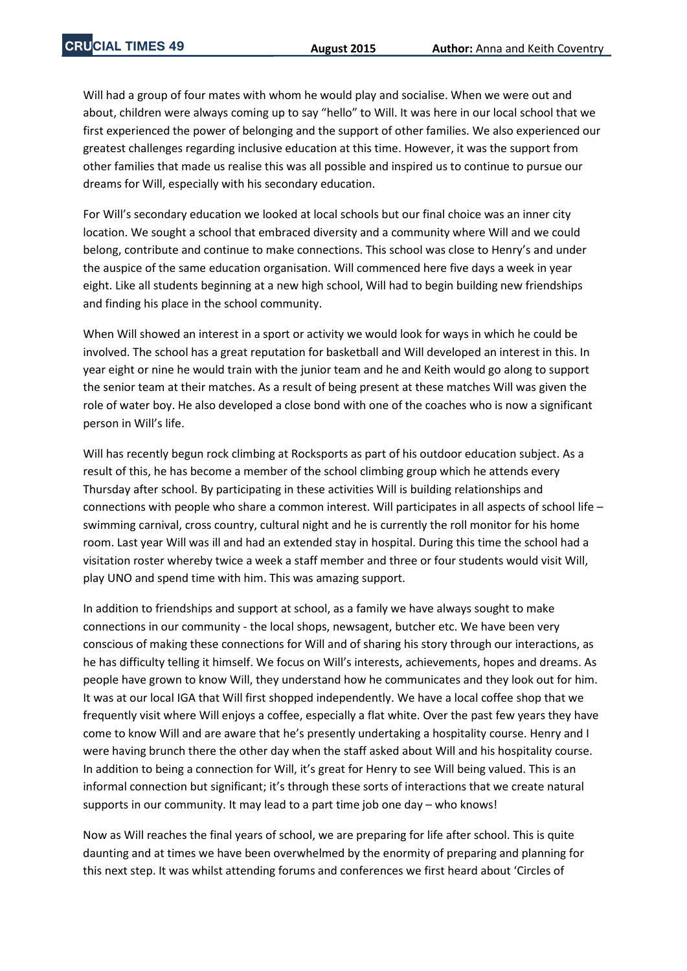Will had a group of four mates with whom he would play and socialise. When we were out and about, children were always coming up to say "hello" to Will. It was here in our local school that we first experienced the power of belonging and the support of other families. We also experienced our greatest challenges regarding inclusive education at this time. However, it was the support from other families that made us realise this was all possible and inspired us to continue to pursue our dreams for Will, especially with his secondary education.

For Will's secondary education we looked at local schools but our final choice was an inner city location. We sought a school that embraced diversity and a community where Will and we could belong, contribute and continue to make connections. This school was close to Henry's and under the auspice of the same education organisation. Will commenced here five days a week in year eight. Like all students beginning at a new high school, Will had to begin building new friendships and finding his place in the school community.

When Will showed an interest in a sport or activity we would look for ways in which he could be involved. The school has a great reputation for basketball and Will developed an interest in this. In year eight or nine he would train with the junior team and he and Keith would go along to support the senior team at their matches. As a result of being present at these matches Will was given the role of water boy. He also developed a close bond with one of the coaches who is now a significant person in Will's life.

Will has recently begun rock climbing at Rocksports as part of his outdoor education subject. As a result of this, he has become a member of the school climbing group which he attends every Thursday after school. By participating in these activities Will is building relationships and connections with people who share a common interest. Will participates in all aspects of school life – swimming carnival, cross country, cultural night and he is currently the roll monitor for his home room. Last year Will was ill and had an extended stay in hospital. During this time the school had a visitation roster whereby twice a week a staff member and three or four students would visit Will, play UNO and spend time with him. This was amazing support.

In addition to friendships and support at school, as a family we have always sought to make connections in our community - the local shops, newsagent, butcher etc. We have been very conscious of making these connections for Will and of sharing his story through our interactions, as he has difficulty telling it himself. We focus on Will's interests, achievements, hopes and dreams. As people have grown to know Will, they understand how he communicates and they look out for him. It was at our local IGA that Will first shopped independently. We have a local coffee shop that we frequently visit where Will enjoys a coffee, especially a flat white. Over the past few years they have come to know Will and are aware that he's presently undertaking a hospitality course. Henry and I were having brunch there the other day when the staff asked about Will and his hospitality course. In addition to being a connection for Will, it's great for Henry to see Will being valued. This is an informal connection but significant; it's through these sorts of interactions that we create natural supports in our community. It may lead to a part time job one day – who knows!

Now as Will reaches the final years of school, we are preparing for life after school. This is quite daunting and at times we have been overwhelmed by the enormity of preparing and planning for this next step. It was whilst attending forums and conferences we first heard about 'Circles of